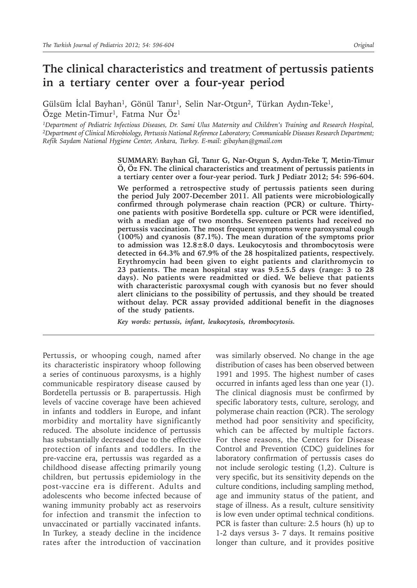# **The clinical characteristics and treatment of pertussis patients in a tertiary center over a four-year period**

Gülsüm İclal Bayhan<sup>1</sup>, Gönül Tanır<sup>1</sup>, Selin Nar-Otgun<sup>2</sup>, Türkan Aydın-Teke<sup>1</sup>, Özge Metin-Timur<sup>1</sup>, Fatma Nur Öz<sup>1</sup>

<sup>1</sup>Department of Pediatric Infectious Diseases, Dr. Sami Ulus Maternity and Children's Training and Research Hospital, *<sup>2</sup>Department of Clinical Microbiology, Pertussis National Reference Laboratory; Communicable Diseases Research Department; Refik Saydam National Hygiene Center, Ankara, Turkey. E-mail: gibayhan@gmail.com*

> **SUMMARY: Bayhan Gİ, Tanır G, Nar-Otgun S, Aydın-Teke T, Metin-Timur Ö, Öz FN. The clinical characteristics and treatment of pertussis patients in a tertiary center over a four-year period. Turk J Pediatr 2012; 54: 596-604.**

> **We performed a retrospective study of pertussis patients seen during the period July 2007-December 2011. All patients were microbiologically confirmed through polymerase chain reaction (PCR) or culture. Thirtyone patients with positive Bordetella spp. culture or PCR were identified, with a median age of two months. Seventeen patients had received no pertussis vaccination. The most frequent symptoms were paroxysmal cough (100%) and cyanosis (87.1%). The mean duration of the symptoms prior to admission was 12.8±8.0 days. Leukocytosis and thrombocytosis were detected in 64.3% and 67.9% of the 28 hospitalized patients, respectively. Erythromycin had been given to eight patients and clarithromycin to 23 patients. The mean hospital stay was 9.5±5.5 days (range: 3 to 28 days). No patients were readmitted or died. We believe that patients with characteristic paroxysmal cough with cyanosis but no fever should alert clinicians to the possibility of pertussis, and they should be treated without delay. PCR assay provided additional benefit in the diagnoses of the study patients.**

*Key words: pertussis, infant, leukocytosis, thrombocytosis.*

Pertussis, or whooping cough, named after its characteristic inspiratory whoop following a series of continuous paroxysms, is a highly communicable respiratory disease caused by Bordetella pertussis or B. parapertussis. High levels of vaccine coverage have been achieved in infants and toddlers in Europe, and infant morbidity and mortality have significantly reduced. The absolute incidence of pertussis has substantially decreased due to the effective protection of infants and toddlers. In the pre-vaccine era, pertussis was regarded as a childhood disease affecting primarily young children, but pertussis epidemiology in the post-vaccine era is different. Adults and adolescents who become infected because of waning immunity probably act as reservoirs for infection and transmit the infection to unvaccinated or partially vaccinated infants. In Turkey, a steady decline in the incidence rates after the introduction of vaccination

was similarly observed. No change in the age distribution of cases has been observed between 1991 and 1995. The highest number of cases occurred in infants aged less than one year (1). The clinical diagnosis must be confirmed by specific laboratory tests, culture, serology, and polymerase chain reaction (PCR). The serology method had poor sensitivity and specificity, which can be affected by multiple factors. For these reasons, the Centers for Disease Control and Prevention (CDC) guidelines for laboratory confirmation of pertussis cases do not include serologic testing (1,2). Culture is very specific, but its sensitivity depends on the culture conditions, including sampling method, age and immunity status of the patient, and stage of illness. As a result, culture sensitivity is low even under optimal technical conditions. PCR is faster than culture: 2.5 hours (h) up to 1-2 days versus 3- 7 days. It remains positive longer than culture, and it provides positive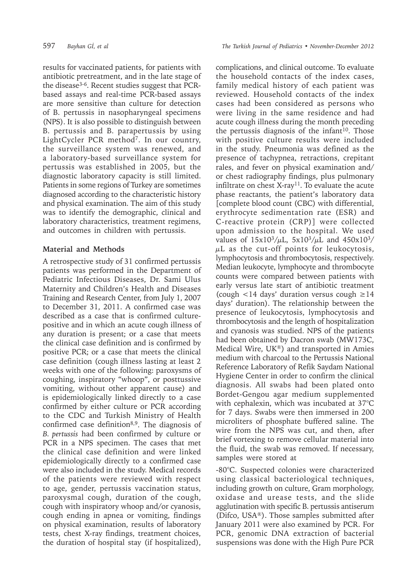results for vaccinated patients, for patients with antibiotic pretreatment, and in the late stage of the disease3-6. Recent studies suggest that PCRbased assays and real-time PCR-based assays are more sensitive than culture for detection of B. pertussis in nasopharyngeal specimens (NPS). It is also possible to distinguish between B. pertussis and B. parapertussis by using LightCycler PCR method<sup>7</sup>. In our country, the surveillance system was renewed, and a laboratory-based surveillance system for pertussis was established in 2005, but the diagnostic laboratory capacity is still limited. Patients in some regions of Turkey are sometimes diagnosed according to the characteristic history and physical examination. The aim of this study was to identify the demographic, clinical and laboratory characteristics, treatment regimens, and outcomes in children with pertussis.

## **Material and Methods**

A retrospective study of 31 confirmed pertussis patients was performed in the Department of Pediatric Infectious Diseases, Dr. Sami Ulus Maternity and Children's Health and Diseases Training and Research Center, from July 1, 2007 to December 31, 2011. A confirmed case was described as a case that is confirmed culturepositive and in which an acute cough illness of any duration is present; or a case that meets the clinical case definition and is confirmed by positive PCR; or a case that meets the clinical case definition (cough illness lasting at least 2 weeks with one of the following: paroxysms of coughing, inspiratory "whoop", or posttussive vomiting, without other apparent cause) and is epidemiologically linked directly to a case confirmed by either culture or PCR according to the CDC and Turkish Ministry of Health confirmed case definition<sup>8,9</sup>. The diagnosis of *B. pertussis* had been confirmed by culture or PCR in a NPS specimen. The cases that met the clinical case definition and were linked epidemiologically directly to a confirmed case were also included in the study. Medical records of the patients were reviewed with respect to age, gender, pertussis vaccination status, paroxysmal cough, duration of the cough, cough with inspiratory whoop and/or cyanosis, cough ending in apnea or vomiting, findings on physical examination, results of laboratory tests, chest X-ray findings, treatment choices, the duration of hospital stay (if hospitalized),

complications, and clinical outcome. To evaluate the household contacts of the index cases, family medical history of each patient was reviewed. Household contacts of the index cases had been considered as persons who were living in the same residence and had acute cough illness during the month preceding the pertussis diagnosis of the infant $10$ . Those with positive culture results were included in the study. Pneumonia was defined as the presence of tachypnea, retractions, crepitant rales, and fever on physical examination and/ or chest radiography findings, plus pulmonary infiltrate on chest  $X$ -ray<sup>11</sup>. To evaluate the acute phase reactants, the patient's laboratory data [complete blood count (CBC) with differential, erythrocyte sedimentation rate (ESR) and C-reactive protein (CRP)] were collected upon admission to the hospital. We used values of  $15x10^3/\mu$ L,  $5x10^3/\mu$ L and  $450x10^3/$  $\mu$ L as the cut-off points for leukocytosis, lymphocytosis and thrombocytosis, respectively. Median leukocyte, lymphocyte and thrombocyte counts were compared between patients with early versus late start of antibiotic treatment (cough  $\langle 14 \text{ days'}$  duration versus cough  $\geq 14$ days' duration). The relationship between the presence of leukocytosis, lymphocytosis and thrombocytosis and the length of hospitalization and cyanosis was studied. NPS of the patients had been obtained by Dacron swab (MW173C, Medical Wire, UK®) and transported in Amies medium with charcoal to the Pertussis National Reference Laboratory of Refik Saydam National Hygiene Center in order to confirm the clinical diagnosis. All swabs had been plated onto Bordet-Gengou agar medium supplemented with cephalexin, which was incubated at 37°C for 7 days. Swabs were then immersed in 200 microliters of phosphate buffered saline. The wire from the NPS was cut, and then, after brief vortexing to remove cellular material into the fluid, the swab was removed. If necessary, samples were stored at

-80°C. Suspected colonies were characterized using classical bacteriological techniques, including growth on culture, Gram morphology, oxidase and urease tests, and the slide agglutination with specific B. pertussis antiserum (Difco, USA®). Those samples submitted after January 2011 were also examined by PCR. For PCR, genomic DNA extraction of bacterial suspensions was done with the High Pure PCR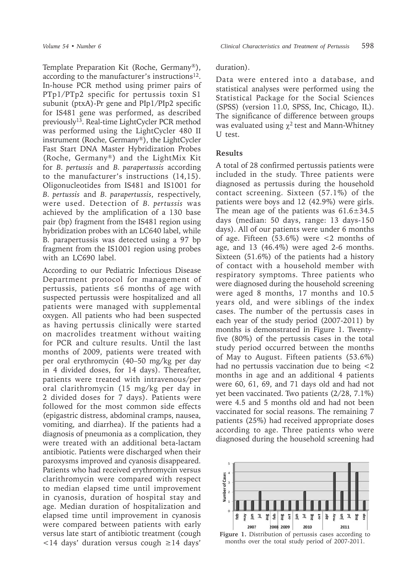Template Preparation Kit (Roche, Germany®), according to the manufacturer's instructions<sup>12</sup>. In-house PCR method using primer pairs of PTp1/PTp2 specific for pertussis toxin S1 subunit (ptxA)-Pr gene and PIp1/PIp2 specific for IS481 gene was performed, as described previously13. Real-time LightCycler PCR method was performed using the LightCycler 480 II instrument (Roche, Germany®), the LightCycler Fast Start DNA Master Hybridization Probes (Roche, Germany®) and the LightMix Kit for *B. pertussis* and *B. parapertussis* according to the manufacturer's instructions (14,15). Oligonucleotides from IS481 and IS1001 for *B. pertussis* and *B. parapertussis*, respectively, were used. Detection of *B. pertussis* was achieved by the amplification of a 130 base pair (bp) fragment from the IS481 region using hybridization probes with an LC640 label, while B. parapertussis was detected using a 97 bp fragment from the IS1001 region using probes with an LC690 label.

According to our Pediatric Infectious Disease Department protocol for management of pertussis, patients ≤6 months of age with suspected pertussis were hospitalized and all patients were managed with supplemental oxygen. All patients who had been suspected as having pertussis clinically were started on macrolides treatment without waiting for PCR and culture results. Until the last months of 2009, patients were treated with per oral erythromycin (40–50 mg/kg per day in 4 divided doses, for 14 days). Thereafter, patients were treated with intravenous/per oral clarithromycin (15 mg/kg per day in 2 divided doses for 7 days). Patients were followed for the most common side effects (epigastric distress, abdominal cramps, nausea, vomiting, and diarrhea). If the patients had a diagnosis of pneumonia as a complication, they were treated with an additional beta-lactam antibiotic. Patients were discharged when their paroxysms improved and cyanosis disappeared. Patients who had received erythromycin versus clarithromycin were compared with respect to median elapsed time until improvement in cyanosis, duration of hospital stay and age. Median duration of hospitalization and elapsed time until improvement in cyanosis were compared between patients with early versus late start of antibiotic treatment (cough <14 days' duration versus cough ≥14 days'

#### duration).

Data were entered into a database, and statistical analyses were performed using the Statistical Package for the Social Sciences (SPSS) (version 11.0, SPSS, Inc, Chicago, IL). The significance of difference between groups was evaluated using  $\gamma^2$  test and Mann-Whitney U test.

#### **Results**

A total of 28 confirmed pertussis patients were included in the study. Three patients were diagnosed as pertussis during the household contact screening. Sixteen (57.1%) of the patients were boys and 12 (42.9%) were girls. The mean age of the patients was  $61.6 \pm 34.5$ days (median: 50 days, range: 13 days-150 days). All of our patients were under 6 months of age. Fifteen  $(53.6\%)$  were <2 months of age, and 13 (46.4%) were aged 2-6 months. Sixteen (51.6%) of the patients had a history of contact with a household member with respiratory symptoms. Three patients who were diagnosed during the household screening were aged 8 months, 17 months and 10.5 years old, and were siblings of the index cases. The number of the pertussis cases in each year of the study period (2007-2011) by months is demonstrated in Figure 1. Twentyfive (80%) of the pertussis cases in the total study period occurred between the months of May to August. Fifteen patients (53.6%) had no pertussis vaccination due to being <2 months in age and an additional 4 patients were 60, 61, 69, and 71 days old and had not yet been vaccinated. Two patients (2/28, 7.1%) were 4.5 and 5 months old and had not been vaccinated for social reasons. The remaining 7 patients (25%) had received appropriate doses according to age. Three patients who were diagnosed during the household screening had



**Figure 1.** Distribution of pertussis cases according to months over the total study period of 2007-2011.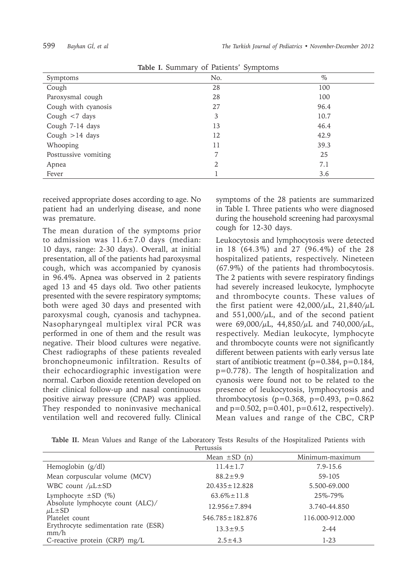|                      | rable is banningly of rationed by improving |      |
|----------------------|---------------------------------------------|------|
| Symptoms             | No.                                         | $\%$ |
| Cough                | 28                                          | 100  |
| Paroxysmal cough     | 28                                          | 100  |
| Cough with cyanosis  | 27                                          | 96.4 |
| Cough $< 7$ days     | 3                                           | 10.7 |
| Cough 7-14 days      | 13                                          | 46.4 |
| Cough $>14$ days     | 12                                          | 42.9 |
| Whooping             | 11                                          | 39.3 |
| Posttussive vomiting |                                             | 25   |
| Apnea                | 2                                           | 7.1  |
| Fever                |                                             | 3.6  |

**Table I.** Summary of Patients' Symptoms

received appropriate doses according to age. No patient had an underlying disease, and none was premature.

The mean duration of the symptoms prior to admission was  $11.6 \pm 7.0$  days (median: 10 days, range: 2-30 days). Overall, at initial presentation, all of the patients had paroxysmal cough, which was accompanied by cyanosis in 96.4%. Apnea was observed in 2 patients aged 13 and 45 days old. Two other patients presented with the severe respiratory symptoms; both were aged 30 days and presented with paroxysmal cough, cyanosis and tachypnea. Nasopharyngeal multiplex viral PCR was performed in one of them and the result was negative. Their blood cultures were negative. Chest radiographs of these patients revealed bronchopneumonic infiltration. Results of their echocardiographic investigation were normal. Carbon dioxide retention developed on their clinical follow-up and nasal continuous positive airway pressure (CPAP) was applied. They responded to noninvasive mechanical ventilation well and recovered fully. Clinical

symptoms of the 28 patients are summarized in Table I. Three patients who were diagnosed during the household screening had paroxysmal cough for 12-30 days.

Leukocytosis and lymphocytosis were detected in 18 (64.3%) and 27 (96.4%) of the 28 hospitalized patients, respectively. Nineteen (67.9%) of the patients had thrombocytosis. The 2 patients with severe respiratory findings had severely increased leukocyte, lymphocyte and thrombocyte counts. These values of the first patient were  $42,000/\mu L$ ,  $21,840/\mu L$ and  $551,000/\mu L$ , and of the second patient were 69,000/ $\mu$ L, 44,850/ $\mu$ L and 740,000/ $\mu$ L, respectively. Median leukocyte, lymphocyte and thrombocyte counts were not significantly different between patients with early versus late start of antibiotic treatment (p=0.384, p=0.184, p=0.778). The length of hospitalization and cyanosis were found not to be related to the presence of leukocytosis, lymphocytosis and thrombocytosis ( $p=0.368$ ,  $p=0.493$ ,  $p=0.862$ and  $p=0.502$ ,  $p=0.401$ ,  $p=0.612$ , respectively). Mean values and range of the CBC, CRP

|                                  |  |  |  |  |  |  |  |  |  |  |  |  | Table II. Mean Values and Range of the Laboratory Tests Results of the Hospitalized Patients with |  |  |
|----------------------------------|--|--|--|--|--|--|--|--|--|--|--|--|---------------------------------------------------------------------------------------------------|--|--|
| $D$ <sub>anti</sub> <sub>a</sub> |  |  |  |  |  |  |  |  |  |  |  |  |                                                                                                   |  |  |

| 1 CL LUSSIS                                          |                       |                 |  |  |  |
|------------------------------------------------------|-----------------------|-----------------|--|--|--|
|                                                      | Mean $\pm SD$ (n)     | Minimum-maximum |  |  |  |
| Hemoglobin $(g/dl)$                                  | $11.4 \pm 1.7$        | $7.9 - 15.6$    |  |  |  |
| Mean corpuscular volume (MCV)                        | $88.2 \pm 9.9$        | 59-105          |  |  |  |
| WBC count $/\mu$ L $\pm$ SD                          | $20.435 \pm 12.828$   | 5.500-69.000    |  |  |  |
| Lymphocyte $\pm$ SD (%)                              | $63.6\% \pm 11.8$     | 25\%-79\%       |  |  |  |
| Absolute lymphocyte count (ALC)/<br>$\mu$ L $\pm$ SD | $12.956 \pm 7.894$    | 3.740-44.850    |  |  |  |
| Platelet count                                       | $546.785 \pm 182.876$ | 116.000-912.000 |  |  |  |
| Erythrocyte sedimentation rate (ESR)<br>mm/h         | $13.3 \pm 9.5$        | $2 - 44$        |  |  |  |
| C-reactive protein (CRP) $mg/L$                      | $2.5 \pm 4.3$         | $1-23$          |  |  |  |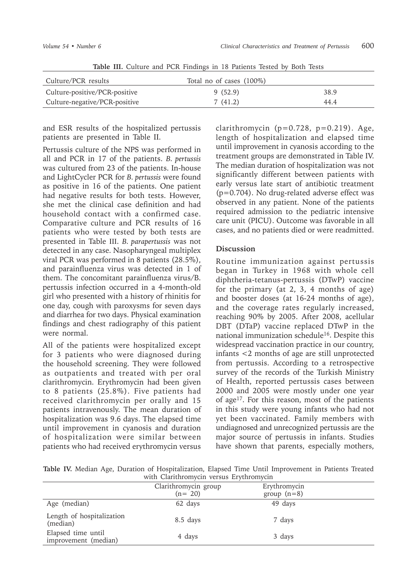| Culture/PCR results           | Total no of cases (100%) |      |
|-------------------------------|--------------------------|------|
| Culture-positive/PCR-positive | 9(52.9)                  | 38.9 |
| Culture-negative/PCR-positive | 7(41.2)                  | 44.4 |

**Table III.** Culture and PCR Findings in 18 Patients Tested by Both Tests

and ESR results of the hospitalized pertussis patients are presented in Table II.

Pertussis culture of the NPS was performed in all and PCR in 17 of the patients. *B. pertussis*  was cultured from 23 of the patients. In-house and LightCycler PCR for *B. pertussis* were found as positive in 16 of the patients. One patient had negative results for both tests. However, she met the clinical case definition and had household contact with a confirmed case. Comparative culture and PCR results of 16 patients who were tested by both tests are presented in Table III. *B. parapertussis* was not detected in any case. Nasopharyngeal multiplex viral PCR was performed in 8 patients (28.5%), and parainfluenza virus was detected in 1 of them. The concomitant parainfluenza virus/B. pertussis infection occurred in a 4-month-old girl who presented with a history of rhinitis for one day, cough with paroxysms for seven days and diarrhea for two days. Physical examination findings and chest radiography of this patient were normal.

All of the patients were hospitalized except for 3 patients who were diagnosed during the household screening. They were followed as outpatients and treated with per oral clarithromycin. Erythromycin had been given to 8 patients (25.8%). Five patients had received clarithromycin per orally and 15 patients intravenously. The mean duration of hospitalization was 9.6 days. The elapsed time until improvement in cyanosis and duration of hospitalization were similar between patients who had received erythromycin versus clarithromycin  $(p=0.728, p=0.219)$ . Age, length of hospitalization and elapsed time until improvement in cyanosis according to the treatment groups are demonstrated in Table IV. The median duration of hospitalization was not significantly different between patients with early versus late start of antibiotic treatment (p=0.704). No drug-related adverse effect was observed in any patient. None of the patients required admission to the pediatric intensive care unit (PICU). Outcome was favorable in all cases, and no patients died or were readmitted.

### **Discussion**

Routine immunization against pertussis began in Turkey in 1968 with whole cell diphtheria-tetanus-pertussis (DTwP) vaccine for the primary (at 2, 3, 4 months of age) and booster doses (at 16-24 months of age), and the coverage rates regularly increased, reaching 90% by 2005. After 2008, acellular DBT (DTaP) vaccine replaced DTwP in the national immunization schedule<sup>16</sup>. Despite this widespread vaccination practice in our country, infants <2 months of age are still unprotected from pertussis. According to a retrospective survey of the records of the Turkish Ministry of Health, reported pertussis cases between 2000 and 2005 were mostly under one year of age17. For this reason, most of the patients in this study were young infants who had not yet been vaccinated. Family members with undiagnosed and unrecognized pertussis are the major source of pertussis in infants. Studies have shown that parents, especially mothers,

**Table IV.** Median Age, Duration of Hospitalization, Elapsed Time Until Improvement in Patients Treated with Clarithromycin versus Erythromycin

| $\cdots$                                   |                                  |                               |  |  |  |  |
|--------------------------------------------|----------------------------------|-------------------------------|--|--|--|--|
|                                            | Clarithromycin group<br>$(n=20)$ | Erythromycin<br>group $(n=8)$ |  |  |  |  |
| Age (median)                               | 62 days                          | 49 days                       |  |  |  |  |
| Length of hospitalization<br>(median)      | 8.5 days                         | 7 days                        |  |  |  |  |
| Elapsed time until<br>improvement (median) | 4 days                           | 3 days                        |  |  |  |  |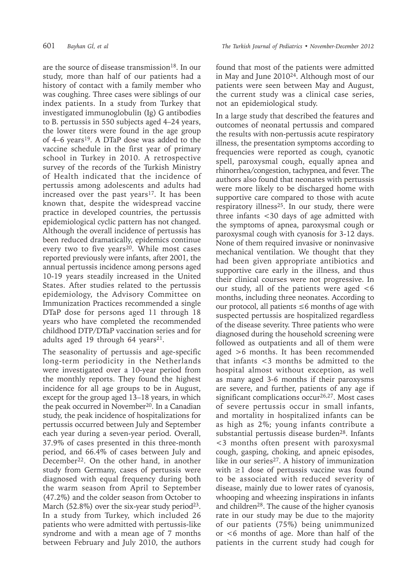are the source of disease transmission<sup>18</sup>. In our study, more than half of our patients had a history of contact with a family member who was coughing. Three cases were siblings of our index patients. In a study from Turkey that investigated immunoglobulin (Ig) G antibodies to B. pertussis in 550 subjects aged 4–24 years, the lower titers were found in the age group of  $4-6$  years<sup>19</sup>. A DTaP dose was added to the vaccine schedule in the first year of primary school in Turkey in 2010. A retrospective survey of the records of the Turkish Ministry of Health indicated that the incidence of pertussis among adolescents and adults had increased over the past years<sup>17</sup>. It has been known that, despite the widespread vaccine practice in developed countries, the pertussis epidemiological cyclic pattern has not changed. Although the overall incidence of pertussis has been reduced dramatically, epidemics continue every two to five years<sup>20</sup>. While most cases reported previously were infants, after 2001, the annual pertussis incidence among persons aged 10-19 years steadily increased in the United States. After studies related to the pertussis epidemiology, the Advisory Committee on Immunization Practices recommended a single DTaP dose for persons aged 11 through 18 years who have completed the recommended childhood DTP/DTaP vaccination series and for adults aged 19 through 64 years<sup>21</sup>.

The seasonality of pertussis and age-specific long-term periodicity in the Netherlands were investigated over a 10-year period from the monthly reports. They found the highest incidence for all age groups to be in August, except for the group aged 13–18 years, in which the peak occurred in November<sup>20</sup>. In a Canadian study, the peak incidence of hospitalizations for pertussis occurred between July and September each year during a seven-year period. Overall, 37.9% of cases presented in this three-month period, and 66.4% of cases between July and December<sup>22</sup>. On the other hand, in another study from Germany, cases of pertussis were diagnosed with equal frequency during both the warm season from April to September (47.2%) and the colder season from October to March (52.8%) over the six-year study period<sup>23</sup>. In a study from Turkey, which included 26 patients who were admitted with pertussis-like syndrome and with a mean age of 7 months between February and July 2010, the authors

found that most of the patients were admitted in May and June 201024. Although most of our patients were seen between May and August, the current study was a clinical case series, not an epidemiological study.

In a large study that described the features and outcomes of neonatal pertussis and compared the results with non-pertussis acute respiratory illness, the presentation symptoms according to frequencies were reported as cough, cyanotic spell, paroxysmal cough, equally apnea and rhinorrhea/congestion, tachypnea, and fever. The authors also found that neonates with pertussis were more likely to be discharged home with supportive care compared to those with acute respiratory illness<sup>25</sup>. In our study, there were three infants <30 days of age admitted with the symptoms of apnea, paroxysmal cough or paroxysmal cough with cyanosis for 3-12 days. None of them required invasive or noninvasive mechanical ventilation. We thought that they had been given appropriate antibiotics and supportive care early in the illness, and thus their clinical courses were not progressive. In our study, all of the patients were aged <6 months, including three neonates. According to our protocol, all patients  $\leq 6$  months of age with suspected pertussis are hospitalized regardless of the disease severity. Three patients who were diagnosed during the household screening were followed as outpatients and all of them were aged >6 months. It has been recommended that infants <3 months be admitted to the hospital almost without exception, as well as many aged 3-6 months if their paroxysms are severe, and further, patients of any age if significant complications occur<sup>26,27</sup>. Most cases of severe pertussis occur in small infants, and mortality in hospitalized infants can be as high as 2%; young infants contribute a substantial pertussis disease burden<sup>28</sup>. Infants <3 months often present with paroxysmal cough, gasping, choking, and apneic episodes, like in our series $27$ . A history of immunization with ≥1 dose of pertussis vaccine was found to be associated with reduced severity of disease, mainly due to lower rates of cyanosis, whooping and wheezing inspirations in infants and children28. The cause of the higher cyanosis rate in our study may be due to the majority of our patients (75%) being unimmunized or <6 months of age. More than half of the patients in the current study had cough for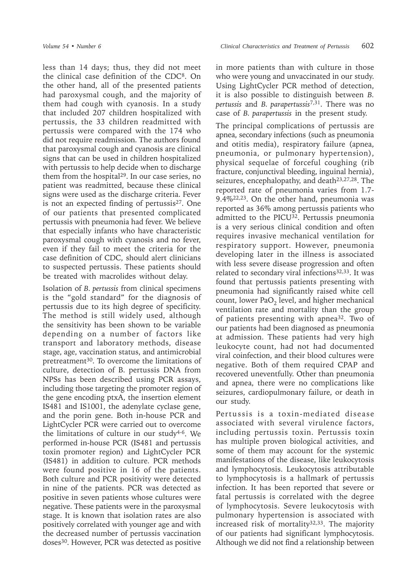less than 14 days; thus, they did not meet the clinical case definition of the CDC8. On the other hand, all of the presented patients had paroxysmal cough, and the majority of them had cough with cyanosis. In a study that included 207 children hospitalized with pertussis, the 33 children readmitted with pertussis were compared with the 174 who did not require readmission. The authors found that paroxysmal cough and cyanosis are clinical signs that can be used in children hospitalized with pertussis to help decide when to discharge them from the hospital<sup>29</sup>. In our case series, no patient was readmitted, because these clinical signs were used as the discharge criteria. Fever is not an expected finding of pertussis $27$ . One of our patients that presented complicated pertussis with pneumonia had fever. We believe that especially infants who have characteristic paroxysmal cough with cyanosis and no fever, even if they fail to meet the criteria for the case definition of CDC, should alert clinicians to suspected pertussis. These patients should be treated with macrolides without delay.

Isolation of *B. pertussis* from clinical specimens is the "gold standard" for the diagnosis of pertussis due to its high degree of specificity. The method is still widely used, although the sensitivity has been shown to be variable depending on a number of factors like transport and laboratory methods, disease stage, age, vaccination status, and antimicrobial pretreatment<sup>30</sup>. To overcome the limitations of culture, detection of B. pertussis DNA from NPSs has been described using PCR assays, including those targeting the promoter region of the gene encoding ptxA, the insertion element IS481 and IS1001, the adenylate cyclase gene, and the porin gene. Both in-house PCR and LightCycler PCR were carried out to overcome the limitations of culture in our study<sup>4-6</sup>. We performed in-house PCR (IS481 and pertussis toxin promoter region) and LightCycler PCR (IS481) in addition to culture. PCR methods were found positive in 16 of the patients. Both culture and PCR positivity were detected in nine of the patients. PCR was detected as positive in seven patients whose cultures were negative. These patients were in the paroxysmal stage. It is known that isolation rates are also positively correlated with younger age and with the decreased number of pertussis vaccination doses30. However, PCR was detected as positive

in more patients than with culture in those who were young and unvaccinated in our study. Using LightCycler PCR method of detection, it is also possible to distinguish between *B. pertussis* and *B. parapertussis*7,31. There was no case of *B. parapertussis* in the present study.

The principal complications of pertussis are apnea, secondary infections (such as pneumonia and otitis media), respiratory failure (apnea, pneumonia, or pulmonary hypertension), physical sequelae of forceful coughing (rib fracture, conjunctival bleeding, inguinal hernia), seizures, encephalopathy, and death<sup>23,27,28</sup>. The reported rate of pneumonia varies from 1.7- 9.4%22,23. On the other hand, pneumonia was reported as 36% among pertussis patients who admitted to the PICU<sup>32</sup>. Pertussis pneumonia is a very serious clinical condition and often requires invasive mechanical ventilation for respiratory support. However, pneumonia developing later in the illness is associated with less severe disease progression and often related to secondary viral infections $32,33$ . It was found that pertussis patients presenting with pneumonia had significantly raised white cell count, lower  $PaO<sub>2</sub>$  level, and higher mechanical ventilation rate and mortality than the group of patients presenting with apnea32. Two of our patients had been diagnosed as pneumonia at admission. These patients had very high leukocyte count, had not had documented viral coinfection, and their blood cultures were negative. Both of them required CPAP and recovered uneventfully. Other than pneumonia and apnea, there were no complications like seizures, cardiopulmonary failure, or death in our study.

Pertussis is a toxin-mediated disease associated with several virulence factors, including pertussis toxin. Pertussis toxin has multiple proven biological activities, and some of them may account for the systemic manifestations of the disease, like leukocytosis and lymphocytosis. Leukocytosis attributable to lymphocytosis is a hallmark of pertussis infection. It has been reported that severe or fatal pertussis is correlated with the degree of lymphocytosis. Severe leukocytosis with pulmonary hypertension is associated with increased risk of mortality $32,33$ . The majority of our patients had significant lymphocytosis. Although we did not find a relationship between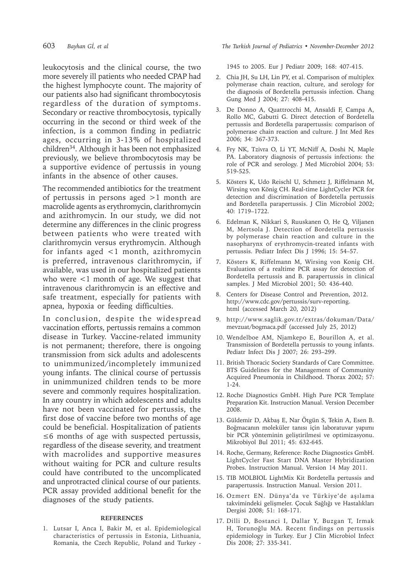leukocytosis and the clinical course, the two more severely ill patients who needed CPAP had the highest lymphocyte count. The majority of our patients also had significant thrombocytosis regardless of the duration of symptoms. Secondary or reactive thrombocytosis, typically occurring in the second or third week of the infection, is a common finding in pediatric ages, occurring in 3-13% of hospitalized children34. Although it has been not emphasized previously, we believe thrombocytosis may be a supportive evidence of pertussis in young infants in the absence of other causes.

The recommended antibiotics for the treatment of pertussis in persons aged >1 month are macrolide agents as erythromycin, clarithromycin and azithromycin. In our study, we did not determine any differences in the clinic progress between patients who were treated with clarithromycin versus erythromycin. Although for infants aged <1 month, azithromycin is preferred, intravenous clarithromycin, if available, was used in our hospitalized patients who were <1 month of age. We suggest that intravenous clarithromycin is an effective and safe treatment, especially for patients with apnea, hypoxia or feeding difficulties.

In conclusion, despite the widespread vaccination efforts, pertussis remains a common disease in Turkey. Vaccine-related immunity is not permanent; therefore, there is ongoing transmission from sick adults and adolescents to unimmunized/incompletely immunized young infants. The clinical course of pertussis in unimmunized children tends to be more severe and commonly requires hospitalization. In any country in which adolescents and adults have not been vaccinated for pertussis, the first dose of vaccine before two months of age could be beneficial. Hospitalization of patients ≤6 months of age with suspected pertussis, regardless of the disease severity, and treatment with macrolides and supportive measures without waiting for PCR and culture results could have contributed to the uncomplicated and unprotracted clinical course of our patients. PCR assay provided additional benefit for the diagnoses of the study patients.

#### **REFERENCES**

1. Lutsar I, Anca I, Bakir M, et al. Epidemiological characteristics of pertussis in Estonia, Lithuania, Romania, the Czech Republic, Poland and Turkey -

603 *Bayhan Gİ, et al The Turkish Journal of Pediatrics • November-December 2012*

1945 to 2005. Eur J Pediatr 2009; 168: 407-415.

- 2. Chia JH, Su LH, Lin PY, et al. Comparison of multiplex polymerase chain reaction, culture, and serology for the diagnosis of Bordetella pertussis infection. Chang Gung Med J 2004; 27: 408-415.
- 3. De Donno A, Quattrocchi M, Ansaldi F, Campa A, Rollo MC, Gabutti G. Direct detection of Bordetella pertussis and Bordetella parapertussis: comparison of polymerase chain reaction and culture. J Int Med Res 2006; 34: 367-373.
- 4. Fry NK, Tzivra O, Li YT, McNiff A, Doshi N, Maple PA. Laboratory diagnosis of pertussis infections: the role of PCR and serology. J Med Microbiol 2004; 53: 519-525.
- 5. Kösters K, Udo Reischl U, Schmetz J, Riffelmann M, Wirsing von König CH. Real-time LightCycler PCR for detection and discrimination of Bordetella pertussis and Bordetella parapertussis. J Clin Microbiol 2002; 40: 1719–1722.
- 6. Edelman K, Nikkari S, Ruuskanen O, He Q, Viljanen M, Mertsola J. Detection of Bordetella pertussis by polymerase chain reaction and culture in the nasopharynx of erythromycin-treated infants with pertussis. Pediatr Infect Dis J 1996; 15: 54–57.
- 7. Kösters K, Riffelmann M, Wirsing von Konig CH. Evaluation of a realtime PCR assay for detection of Bordetella pertussis and B. parapertussis in clinical samples. J Med Microbiol 2001; 50: 436-440.
- 8. Centers for Disease Control and Prevention, 2012. http://www.cdc.gov/pertussis/surv-reporting. html (accessed March 20, 2012)
- 9. http://www.saglik.gov.tr/extras/dokuman/Data/ mevzuat/bogmaca.pdf (accessed July 25, 2012)
- 10. Wendelboe AM, Njamkepo E, Bourillon A, et al. Transmission of Bordetella pertussis to young infants. Pediatr Infect Dis J 2007; 26: 293–299.
- 11. British Thoracic Society Standards of Care Committee. BTS Guidelines for the Management of Community Acquired Pneumonia in Childhood. Thorax 2002; 57: 1-24.
- 12. Roche Diagnostics GmbH. High Pure PCR Template Preparation Kit. Instruction Manual. Version December 2008.
- 13. Güldemir D, Akbaş E, Nar Ötgün S, Tekin A, Esen B. Boğmacanın moleküler tanısı için laboratuvar yapımı bir PCR yönteminin geliştirilmesi ve optimizasyonu. Mikrobiyol Bul 2011; 45: 632-645.
- 14. Roche, Germany, Reference: Roche Diagnostics GmbH. LightCycler Fast Start DNA Master Hybridization Probes. Instruction Manual. Version 14 May 2011.
- 15. TIB MOLBIOL LightMix Kit Bordetella pertussis and parapertussis. Instruction Manual. Version 2011.
- 16. Ozmert EN. Dünya'da ve Türkiye'de aşılama takvimindeki gelişmeler. Çocuk Sağlığı ve Hastalıkları Dergisi 2008; 51: 168-171.
- 17. Dilli D, Bostanci I, Dallar Y, Buzgan T, Irmak H, Torunoğlu MA. Recent findings on pertussis epidemiology in Turkey. Eur J Clin Microbiol Infect Dis 2008; 27: 335-341.